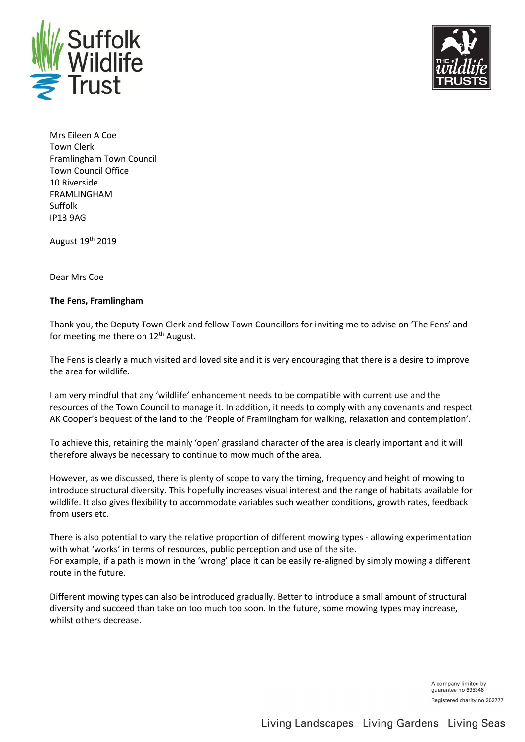



Mrs Eileen A Coe Town Clerk Framlingham Town Council Town Council Office 10 Riverside FRAMLINGHAM Suffolk IP13 9AG

August 19th 2019

Dear Mrs Coe

#### **The Fens, Framlingham**

Thank you, the Deputy Town Clerk and fellow Town Councillors for inviting me to advise on 'The Fens' and for meeting me there on 12<sup>th</sup> August.

The Fens is clearly a much visited and loved site and it is very encouraging that there is a desire to improve the area for wildlife.

I am very mindful that any 'wildlife' enhancement needs to be compatible with current use and the resources of the Town Council to manage it. In addition, it needs to comply with any covenants and respect AK Cooper's bequest of the land to the 'People of Framlingham for walking, relaxation and contemplation'.

To achieve this, retaining the mainly 'open' grassland character of the area is clearly important and it will therefore always be necessary to continue to mow much of the area.

However, as we discussed, there is plenty of scope to vary the timing, frequency and height of mowing to introduce structural diversity. This hopefully increases visual interest and the range of habitats available for wildlife. It also gives flexibility to accommodate variables such weather conditions, growth rates, feedback from users etc.

There is also potential to vary the relative proportion of different mowing types - allowing experimentation with what 'works' in terms of resources, public perception and use of the site. For example, if a path is mown in the 'wrong' place it can be easily re-aligned by simply mowing a different route in the future.

Different mowing types can also be introduced gradually. Better to introduce a small amount of structural diversity and succeed than take on too much too soon. In the future, some mowing types may increase, whilst others decrease.

> A company limited by guarantee no 695346 Registered charity no 262777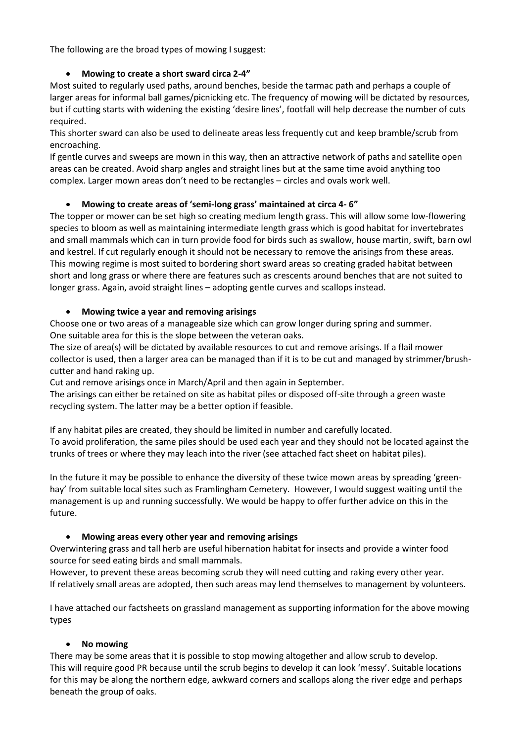The following are the broad types of mowing I suggest:

# • **Mowing to create a short sward circa 2-4"**

Most suited to regularly used paths, around benches, beside the tarmac path and perhaps a couple of larger areas for informal ball games/picnicking etc. The frequency of mowing will be dictated by resources, but if cutting starts with widening the existing 'desire lines', footfall will help decrease the number of cuts required.

This shorter sward can also be used to delineate areas less frequently cut and keep bramble/scrub from encroaching.

If gentle curves and sweeps are mown in this way, then an attractive network of paths and satellite open areas can be created. Avoid sharp angles and straight lines but at the same time avoid anything too complex. Larger mown areas don't need to be rectangles – circles and ovals work well.

# • **Mowing to create areas of 'semi-long grass' maintained at circa 4- 6"**

The topper or mower can be set high so creating medium length grass. This will allow some low-flowering species to bloom as well as maintaining intermediate length grass which is good habitat for invertebrates and small mammals which can in turn provide food for birds such as swallow, house martin, swift, barn owl and kestrel. If cut regularly enough it should not be necessary to remove the arisings from these areas. This mowing regime is most suited to bordering short sward areas so creating graded habitat between short and long grass or where there are features such as crescents around benches that are not suited to longer grass. Again, avoid straight lines – adopting gentle curves and scallops instead.

### • **Mowing twice a year and removing arisings**

Choose one or two areas of a manageable size which can grow longer during spring and summer. One suitable area for this is the slope between the veteran oaks.

The size of area(s) will be dictated by available resources to cut and remove arisings. If a flail mower collector is used, then a larger area can be managed than if it is to be cut and managed by strimmer/brushcutter and hand raking up.

Cut and remove arisings once in March/April and then again in September.

The arisings can either be retained on site as habitat piles or disposed off-site through a green waste recycling system. The latter may be a better option if feasible.

If any habitat piles are created, they should be limited in number and carefully located. To avoid proliferation, the same piles should be used each year and they should not be located against the trunks of trees or where they may leach into the river (see attached fact sheet on habitat piles).

In the future it may be possible to enhance the diversity of these twice mown areas by spreading 'greenhay' from suitable local sites such as Framlingham Cemetery. However, I would suggest waiting until the management is up and running successfully. We would be happy to offer further advice on this in the future.

### • **Mowing areas every other year and removing arisings**

Overwintering grass and tall herb are useful hibernation habitat for insects and provide a winter food source for seed eating birds and small mammals.

However, to prevent these areas becoming scrub they will need cutting and raking every other year. If relatively small areas are adopted, then such areas may lend themselves to management by volunteers.

I have attached our factsheets on grassland management as supporting information for the above mowing types

### • **No mowing**

There may be some areas that it is possible to stop mowing altogether and allow scrub to develop. This will require good PR because until the scrub begins to develop it can look 'messy'. Suitable locations for this may be along the northern edge, awkward corners and scallops along the river edge and perhaps beneath the group of oaks.